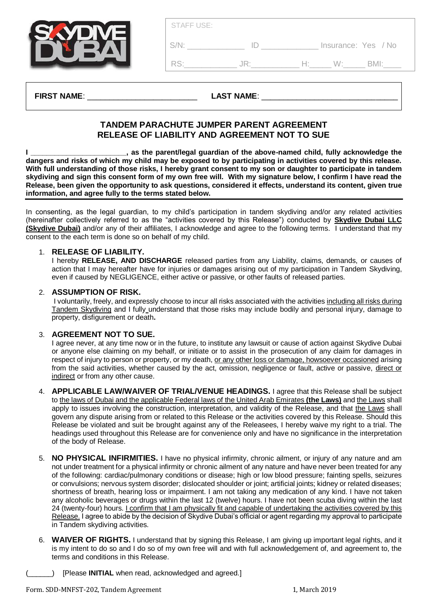| Insurance: Yes / No |
|---------------------|
| ₹N∕II∙              |
|                     |

#### **FIRST NAME:**  $\qquad \qquad$  **LAST NAME:**

# **TANDEM PARACHUTE JUMPER PARENT AGREEMENT RELEASE OF LIABILITY AND AGREEMENT NOT TO SUE**

**I \_\_\_\_\_\_\_\_\_\_\_\_\_\_\_\_\_\_\_\_\_\_\_\_, as the parent/legal guardian of the above-named child, fully acknowledge the dangers and risks of which my child may be exposed to by participating in activities covered by this release. With full understanding of those risks, I hereby grant consent to my son or daughter to participate in tandem skydiving and sign this consent form of my own free will. With my signature below, I confirm I have read the Release, been given the opportunity to ask questions, considered it effects, understand its content, given true information, and agree fully to the terms stated below.** 

In consenting, as the legal guardian, to my child's participation in tandem skydiving and/or any related activities (hereinafter collectively referred to as the "activities covered by this Release") conducted by **Skydive Dubai LLC (Skydive Dubai)** and/or any of their affiliates, I acknowledge and agree to the following terms. I understand that my consent to the each term is done so on behalf of my child.

### 1. **RELEASE OF LIABILITY.**

I hereby **RELEASE, AND DISCHARGE** released parties from any Liability, claims, demands, or causes of action that I may hereafter have for injuries or damages arising out of my participation in Tandem Skydiving, even if caused by NEGLIGENCE, either active or passive, or other faults of released parties.

### 2. **ASSUMPTION OF RISK.**

I voluntarily, freely, and expressly choose to incur all risks associated with the activities including all risks during Tandem Skydiving and I fully understand that those risks may include bodily and personal injury, damage to property, disfigurement or death**.**

## 3. **AGREEMENT NOT TO SUE.**

I agree never, at any time now or in the future, to institute any lawsuit or cause of action against Skydive Dubai or anyone else claiming on my behalf, or initiate or to assist in the prosecution of any claim for damages in respect of injury to person or property, or my death, or any other loss or damage, howsoever occasioned arising from the said activities, whether caused by the act, omission, negligence or fault, active or passive, direct or indirect or from any other cause.

- 4. **APPLICABLE LAW/WAIVER OF TRIAL/VENUE HEADINGS.** I agree that this Release shall be subject to the laws of Dubai and the applicable Federal laws of the United Arab Emirates **(the Laws)** and the Laws shall apply to issues involving the construction, interpretation, and validity of the Release, and that the Laws shall govern any dispute arising from or related to this Release or the activities covered by this Release. Should this Release be violated and suit be brought against any of the Releasees, I hereby waive my right to a trial. The headings used throughout this Release are for convenience only and have no significance in the interpretation of the body of Release.
- 5. **NO PHYSICAL INFIRMITIES.** I have no physical infirmity, chronic ailment, or injury of any nature and am not under treatment for a physical infirmity or chronic ailment of any nature and have never been treated for any of the following: cardiac/pulmonary conditions or disease; high or low blood pressure; fainting spells, seizures or convulsions; nervous system disorder; dislocated shoulder or joint; artificial joints; kidney or related diseases; shortness of breath, hearing loss or impairment. I am not taking any medication of any kind. I have not taken any alcoholic beverages or drugs within the last 12 (twelve) hours. I have not been scuba diving within the last 24 (twenty-four) hours. I confirm that I am physically fit and capable of undertaking the activities covered by this Release. I agree to abide by the decision of Skydive Dubai's official or agent regarding my approval to participate in Tandem skydiving activities.
- 6. **WAIVER OF RIGHTS.** I understand that by signing this Release, I am giving up important legal rights, and it is my intent to do so and I do so of my own free will and with full acknowledgement of, and agreement to, the terms and conditions in this Release.
	- (Please **INITIAL** when read, acknowledged and agreed.)